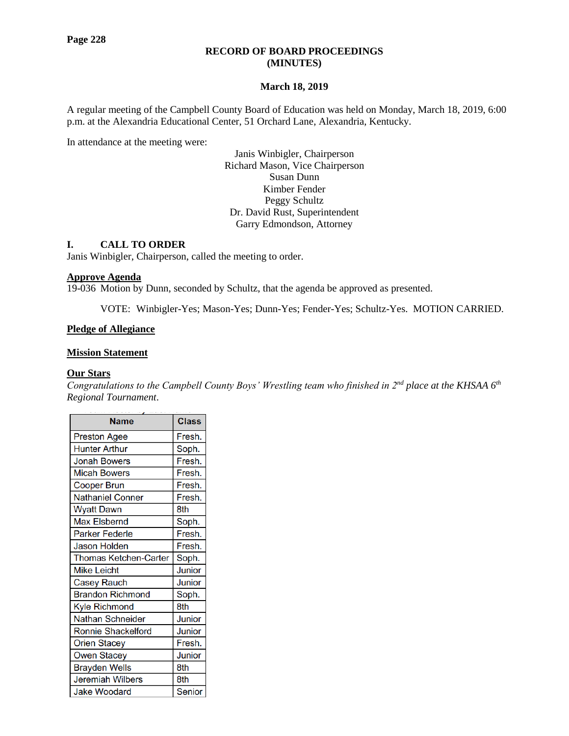# **RECORD OF BOARD PROCEEDINGS (MINUTES)**

### **March 18, 2019**

A regular meeting of the Campbell County Board of Education was held on Monday, March 18, 2019, 6:00 p.m. at the Alexandria Educational Center, 51 Orchard Lane, Alexandria, Kentucky.

In attendance at the meeting were:

Janis Winbigler, Chairperson Richard Mason, Vice Chairperson Susan Dunn Kimber Fender Peggy Schultz Dr. David Rust, Superintendent Garry Edmondson, Attorney

### **I. CALL TO ORDER**

Janis Winbigler, Chairperson, called the meeting to order.

#### **Approve Agenda**

19-036 Motion by Dunn, seconded by Schultz, that the agenda be approved as presented.

VOTE: Winbigler-Yes; Mason-Yes; Dunn-Yes; Fender-Yes; Schultz-Yes. MOTION CARRIED.

### **Pledge of Allegiance**

# **Mission Statement**

### **Our Stars**

*Congratulations to the Campbell County Boys' Wrestling team who finished in 2nd place at the KHSAA 6th Regional Tournament*.

| <b>Name</b>               | <b>Class</b>  |
|---------------------------|---------------|
| <b>Preston Agee</b>       | Fresh.        |
| <b>Hunter Arthur</b>      | Soph.         |
| <b>Jonah Bowers</b>       | Fresh.        |
| <b>Micah Bowers</b>       | Fresh.        |
| Cooper Brun               | Fresh.        |
| <b>Nathaniel Conner</b>   | Fresh.        |
| <b>Wyatt Dawn</b>         | 8th           |
| <b>Max Elsbernd</b>       | Soph.         |
| <b>Parker Federle</b>     | Fresh.        |
| <b>Jason Holden</b>       | Fresh.        |
| Thomas Ketchen-Carter     | Soph.         |
| <b>Mike Leicht</b>        | Junior        |
| <b>Casey Rauch</b>        | Junior        |
| <b>Brandon Richmond</b>   | Soph.         |
| Kyle Richmond             | 8th           |
| Nathan Schneider          | Junior        |
| <b>Ronnie Shackelford</b> | Junior        |
| <b>Orien Stacey</b>       | Fresh.        |
| <b>Owen Stacey</b>        | Junior        |
| <b>Brayden Wells</b>      | 8th           |
| <b>Jeremiah Wilbers</b>   | 8th           |
| <b>Jake Woodard</b>       | <b>Senior</b> |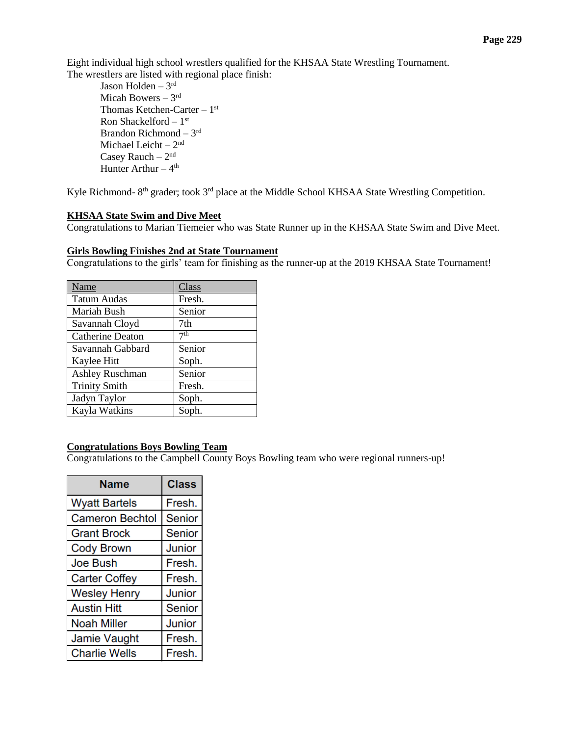Eight individual high school wrestlers qualified for the KHSAA State Wrestling Tournament. The wrestlers are listed with regional place finish:

Jason Holden – 3 rd Micah Bowers – 3rd Thomas Ketchen-Carter  $-1<sup>st</sup>$ Ron Shackelford – 1<sup>st</sup> Brandon Richmond – 3 rd Michael Leicht – 2<sup>nd</sup> Casey Rauch  $-2<sup>nd</sup>$ Hunter Arthur  $-4<sup>th</sup>$ 

Kyle Richmond-  $8<sup>th</sup>$  grader; took  $3<sup>rd</sup>$  place at the Middle School KHSAA State Wrestling Competition.

# **[KHSAA State Swim](http://www.campbellcountyschools.org/News/55113) and Dive Meet**

Congratulations to Marian Tiemeier who was State Runner up in the KHSAA State Swim and Dive Meet.

### **[Girls Bowling Finishes 2nd at State Tournament](http://www.campbellcountyschools.org/News/55114)**

Congratulations to the girls' team for finishing as the runner-up at the 2019 KHSAA State Tournament!

| Name                    | Class           |
|-------------------------|-----------------|
| <b>Tatum Audas</b>      | Fresh.          |
| Mariah Bush             | Senior          |
| Savannah Cloyd          | 7th             |
| <b>Catherine Deaton</b> | 7 <sup>th</sup> |
| Savannah Gabbard        | Senior          |
| Kaylee Hitt             | Soph.           |
| <b>Ashley Ruschman</b>  | Senior          |
| <b>Trinity Smith</b>    | Fresh.          |
| Jadyn Taylor            | Soph.           |
| Kayla Watkins           | Soph.           |

# **Congratulations Boys Bowling Team**

Congratulations to the Campbell County Boys Bowling team who were regional runners-up!

| Name                   | <b>Class</b>  |  |
|------------------------|---------------|--|
| <b>Wyatt Bartels</b>   | Fresh.        |  |
| <b>Cameron Bechtol</b> | <b>Senior</b> |  |
| <b>Grant Brock</b>     | <b>Senior</b> |  |
| <b>Cody Brown</b>      | Junior        |  |
| <b>Joe Bush</b>        | Fresh.        |  |
| <b>Carter Coffey</b>   | Fresh.        |  |
| <b>Wesley Henry</b>    | Junior        |  |
| <b>Austin Hitt</b>     | <b>Senior</b> |  |
| <b>Noah Miller</b>     | Junior        |  |
| Jamie Vaught           | Fresh.        |  |
| <b>Charlie Wells</b>   | Fresh.        |  |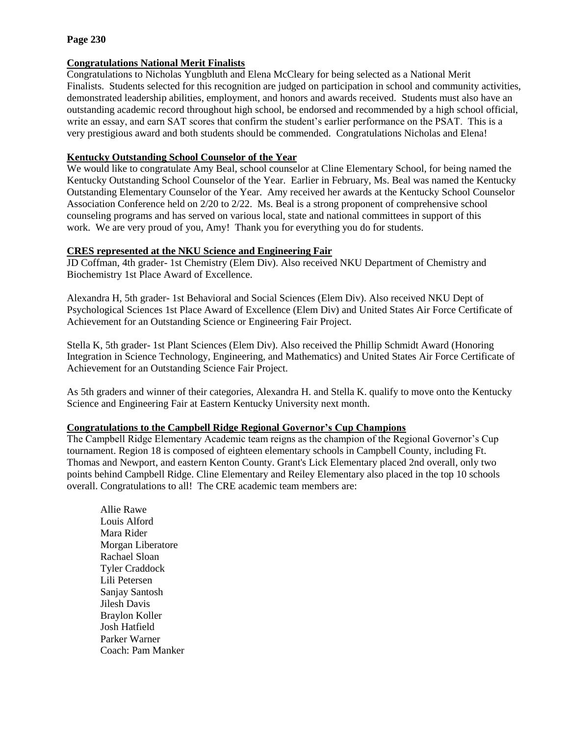# **Page 230**

### **[Congratulations National Merit Finalists](http://www.campbellcountyschools.org/News/55120)**

Congratulations to Nicholas Yungbluth and Elena McCleary for being selected as a National Merit Finalists. Students selected for this recognition are judged on participation in school and community activities, demonstrated leadership abilities, employment, and honors and awards received. Students must also have an outstanding academic record throughout high school, be endorsed and recommended by a high school official, write an essay, and earn SAT scores that confirm the student's earlier performance on the PSAT. This is a very prestigious award and both students should be commended. Congratulations Nicholas and Elena!

# **[Kentucky Outstanding School Counselor of the Year](http://www.campbellcountyschools.org/News/55122)**

We would like to congratulate Amy Beal, school counselor at Cline Elementary School, for being named the Kentucky Outstanding School Counselor of the Year. Earlier in February, Ms. Beal was named the Kentucky Outstanding Elementary Counselor of the Year. Amy received her awards at the Kentucky School Counselor Association Conference held on 2/20 to 2/22. Ms. Beal is a strong proponent of comprehensive school counseling programs and has served on various local, state and national committees in support of this work. We are very proud of you, Amy! Thank you for everything you do for students.

### **CRES represented at the NKU Science and Engineering Fair**

JD Coffman, 4th grader- 1st Chemistry (Elem Div). Also received NKU Department of Chemistry and Biochemistry 1st Place Award of Excellence.

Alexandra H, 5th grader- 1st Behavioral and Social Sciences (Elem Div). Also received NKU Dept of Psychological Sciences 1st Place Award of Excellence (Elem Div) and United States Air Force Certificate of Achievement for an Outstanding Science or Engineering Fair Project.

Stella K, 5th grader- 1st Plant Sciences (Elem Div). Also received the Phillip Schmidt Award (Honoring Integration in Science Technology, Engineering, and Mathematics) and United States Air Force Certificate of Achievement for an Outstanding Science Fair Project.

As 5th graders and winner of their categories, Alexandra H. and Stella K. qualify to move onto the Kentucky Science and Engineering Fair at Eastern Kentucky University next month.

# **Congratulations to the Campbell Ridge Regional Governor's Cup Champions**

The Campbell Ridge Elementary Academic team reigns as the champion of the Regional Governor's Cup tournament. Region 18 is composed of eighteen elementary schools in Campbell County, including Ft. Thomas and Newport, and eastern Kenton County. Grant's Lick Elementary placed 2nd overall, only two points behind Campbell Ridge. Cline Elementary and Reiley Elementary also placed in the top 10 schools overall. Congratulations to all! The CRE academic team members are:

Allie Rawe Louis Alford Mara Rider Morgan Liberatore Rachael Sloan Tyler Craddock Lili Petersen Sanjay Santosh Jilesh Davis Braylon Koller Josh Hatfield Parker Warner Coach: Pam Manker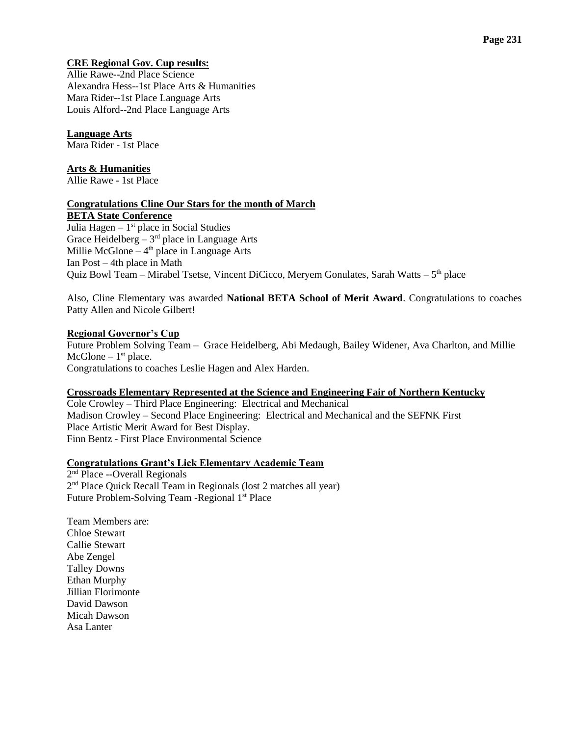# **CRE Regional Gov. Cup results:**

Allie Rawe--2nd Place Science Alexandra Hess--1st Place Arts & Humanities Mara Rider--1st Place Language Arts Louis Alford--2nd Place Language Arts

#### **Language Arts** Mara Rider - 1st Place

# **Arts & Humanities**

Allie Rawe - 1st Place

### **Congratulations Cline Our Stars for the month of March BETA State Conference**

Julia Hagen - 1<sup>st</sup> place in Social Studies Grace Heidelberg  $-3<sup>rd</sup>$  place in Language Arts Millie McGlone  $-4<sup>th</sup>$  place in Language Arts Ian Post – 4th place in Math Quiz Bowl Team – Mirabel Tsetse, Vincent DiCicco, Meryem Gonulates, Sarah Watts – 5<sup>th</sup> place

Also, Cline Elementary was awarded **National BETA School of Merit Award**. Congratulations to coaches Patty Allen and Nicole Gilbert!

# **Regional Governor's Cup**

Future Problem Solving Team – Grace Heidelberg, Abi Medaugh, Bailey Widener, Ava Charlton, and Millie  $McG$ lone –  $1<sup>st</sup>$  place. Congratulations to coaches Leslie Hagen and Alex Harden.

# **Crossroads Elementary Represented at the Science and Engineering Fair of Northern Kentucky**

Cole Crowley – Third Place Engineering: Electrical and Mechanical Madison Crowley – Second Place Engineering: Electrical and Mechanical and the SEFNK First Place Artistic Merit Award for Best Display. Finn Bentz - First Place Environmental Science

# **Congratulations Grant's Lick Elementary Academic Team**

2<sup>nd</sup> Place --Overall Regionals 2<sup>nd</sup> Place Quick Recall Team in Regionals (lost 2 matches all year) Future Problem-Solving Team -Regional 1<sup>st</sup> Place

Team Members are: Chloe Stewart Callie Stewart Abe Zengel Talley Downs Ethan Murphy Jillian Florimonte David Dawson Micah Dawson Asa Lanter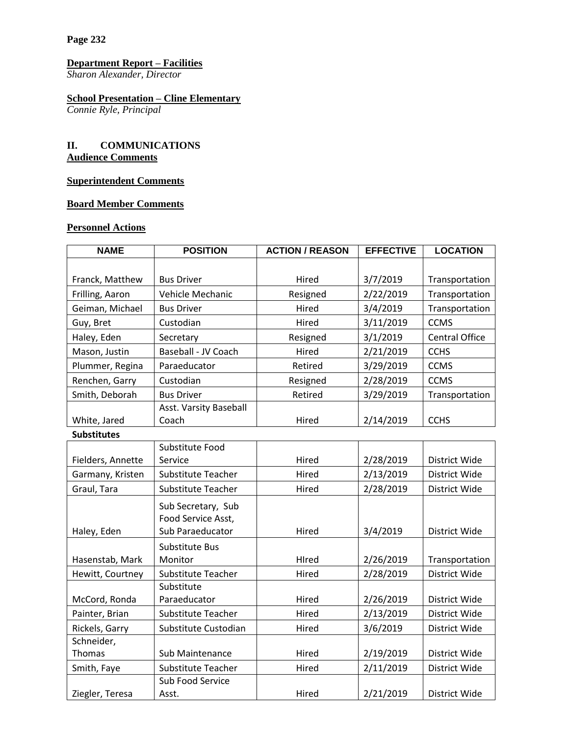**Page 232**

### **Department Report – Facilities**

*Sharon Alexander, Director*

### **School Presentation – Cline Elementary**

*Connie Ryle, Principal*

# **II. COMMUNICATIONS Audience Comments**

# **Superintendent Comments**

# **Board Member Comments**

# **Personnel Actions**

| <b>NAME</b>        | <b>POSITION</b>        | <b>ACTION / REASON</b> | <b>EFFECTIVE</b> | <b>LOCATION</b>       |
|--------------------|------------------------|------------------------|------------------|-----------------------|
|                    |                        |                        |                  |                       |
| Franck, Matthew    | <b>Bus Driver</b>      | Hired                  | 3/7/2019         | Transportation        |
| Frilling, Aaron    | Vehicle Mechanic       | Resigned               | 2/22/2019        | Transportation        |
| Geiman, Michael    | <b>Bus Driver</b>      | Hired                  | 3/4/2019         | Transportation        |
| Guy, Bret          | Custodian              | Hired                  | 3/11/2019        | <b>CCMS</b>           |
| Haley, Eden        | Secretary              | Resigned               | 3/1/2019         | <b>Central Office</b> |
| Mason, Justin      | Baseball - JV Coach    | Hired                  | 2/21/2019        | <b>CCHS</b>           |
| Plummer, Regina    | Paraeducator           | Retired                | 3/29/2019        | <b>CCMS</b>           |
| Renchen, Garry     | Custodian              | Resigned               | 2/28/2019        | <b>CCMS</b>           |
| Smith, Deborah     | <b>Bus Driver</b>      | Retired                | 3/29/2019        | Transportation        |
|                    | Asst. Varsity Baseball |                        |                  |                       |
| White, Jared       | Coach                  | Hired                  | 2/14/2019        | <b>CCHS</b>           |
| <b>Substitutes</b> |                        |                        |                  |                       |
|                    | Substitute Food        |                        |                  |                       |
| Fielders, Annette  | Service                | Hired                  | 2/28/2019        | District Wide         |
| Garmany, Kristen   | Substitute Teacher     | Hired                  | 2/13/2019        | District Wide         |
| Graul, Tara        | Substitute Teacher     | Hired                  | 2/28/2019        | District Wide         |
|                    | Sub Secretary, Sub     |                        |                  |                       |
|                    | Food Service Asst,     |                        |                  |                       |
| Haley, Eden        | Sub Paraeducator       | Hired                  | 3/4/2019         | District Wide         |
|                    | Substitute Bus         |                        |                  |                       |
| Hasenstab, Mark    | Monitor                | HIred                  | 2/26/2019        | Transportation        |
| Hewitt, Courtney   | Substitute Teacher     | Hired                  | 2/28/2019        | District Wide         |
|                    | Substitute             |                        |                  |                       |
| McCord, Ronda      | Paraeducator           | Hired                  | 2/26/2019        | District Wide         |
| Painter, Brian     | Substitute Teacher     | Hired                  | 2/13/2019        | District Wide         |
| Rickels, Garry     | Substitute Custodian   | Hired                  | 3/6/2019         | District Wide         |
| Schneider,         |                        |                        |                  |                       |
| Thomas             | Sub Maintenance        | Hired                  | 2/19/2019        | District Wide         |
| Smith, Faye        | Substitute Teacher     | Hired                  | 2/11/2019        | District Wide         |
|                    | Sub Food Service       |                        |                  |                       |
| Ziegler, Teresa    | Asst.                  | Hired                  | 2/21/2019        | District Wide         |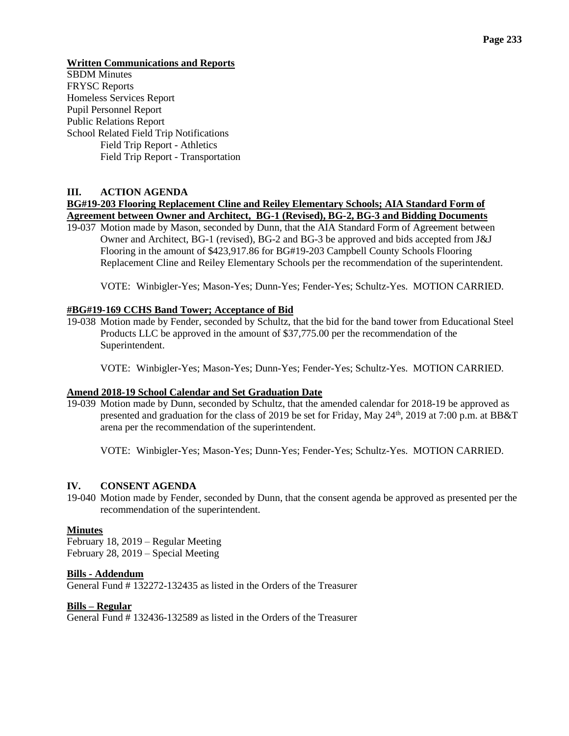**Written Communications and Reports** 

SBDM Minutes FRYSC Reports Homeless Services Report Pupil Personnel Report Public Relations Report School Related Field Trip Notifications Field Trip Report - Athletics Field Trip Report - Transportation

### **III. ACTION AGENDA**

# **BG#19-203 Flooring Replacement Cline and Reiley Elementary Schools; AIA Standard Form of Agreement between Owner and Architect, BG-1 (Revised), BG-2, BG-3 and Bidding Documents**

19-037 Motion made by Mason, seconded by Dunn, that the AIA Standard Form of Agreement between Owner and Architect, BG-1 (revised), BG-2 and BG-3 be approved and bids accepted from J&J Flooring in the amount of \$423,917.86 for BG#19-203 Campbell County Schools Flooring Replacement Cline and Reiley Elementary Schools per the recommendation of the superintendent.

VOTE: Winbigler-Yes; Mason-Yes; Dunn-Yes; Fender-Yes; Schultz-Yes. MOTION CARRIED.

### **#BG#19-169 CCHS Band Tower; Acceptance of Bid**

19-038 Motion made by Fender, seconded by Schultz, that the bid for the band tower from Educational Steel Products LLC be approved in the amount of \$37,775.00 per the recommendation of the Superintendent.

VOTE: Winbigler-Yes; Mason-Yes; Dunn-Yes; Fender-Yes; Schultz-Yes. MOTION CARRIED.

### **Amend 2018-19 School Calendar and Set Graduation Date**

19-039 Motion made by Dunn, seconded by Schultz, that the amended calendar for 2018-19 be approved as presented and graduation for the class of 2019 be set for Friday, May  $24<sup>th</sup>$ , 2019 at 7:00 p.m. at BB&T arena per the recommendation of the superintendent.

VOTE: Winbigler-Yes; Mason-Yes; Dunn-Yes; Fender-Yes; Schultz-Yes. MOTION CARRIED.

### **IV. CONSENT AGENDA**

19-040 Motion made by Fender, seconded by Dunn, that the consent agenda be approved as presented per the recommendation of the superintendent.

### **Minutes**

February 18, 2019 – Regular Meeting February 28, 2019 – Special Meeting

### **Bills - Addendum**

General Fund # 132272-132435 as listed in the Orders of the Treasurer

### **Bills – Regular**

General Fund # 132436-132589 as listed in the Orders of the Treasurer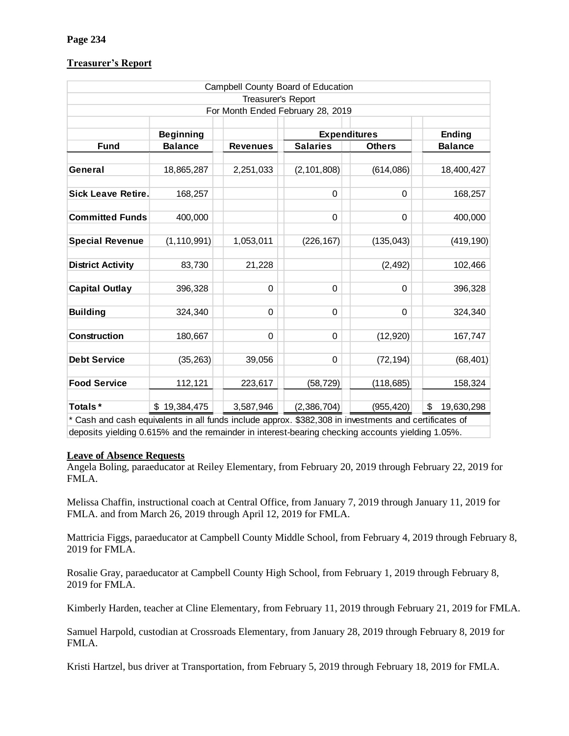# **Treasurer's Report**

|                                                                                                                                                                             |                  |                    | Campbell County Board of Education |               |                  |
|-----------------------------------------------------------------------------------------------------------------------------------------------------------------------------|------------------|--------------------|------------------------------------|---------------|------------------|
|                                                                                                                                                                             |                  | Treasurer's Report |                                    |               |                  |
|                                                                                                                                                                             |                  |                    | For Month Ended February 28, 2019  |               |                  |
|                                                                                                                                                                             | <b>Beginning</b> |                    | <b>Expenditures</b>                |               | Ending           |
| <b>Fund</b>                                                                                                                                                                 | <b>Balance</b>   | <b>Revenues</b>    | <b>Salaries</b>                    | <b>Others</b> | <b>Balance</b>   |
|                                                                                                                                                                             |                  |                    |                                    |               |                  |
| General                                                                                                                                                                     | 18,865,287       | 2,251,033          | (2, 101, 808)                      | (614,086)     | 18,400,427       |
| <b>Sick Leave Retire.</b>                                                                                                                                                   | 168,257          |                    | 0                                  | 0             | 168,257          |
|                                                                                                                                                                             |                  |                    |                                    |               |                  |
| <b>Committed Funds</b>                                                                                                                                                      | 400,000          |                    | 0                                  | 0             | 400,000          |
|                                                                                                                                                                             |                  |                    |                                    |               |                  |
| <b>Special Revenue</b>                                                                                                                                                      | (1, 110, 991)    | 1,053,011          | (226, 167)                         | (135, 043)    | (419, 190)       |
| <b>District Activity</b>                                                                                                                                                    | 83,730           | 21,228             |                                    | (2, 492)      | 102,466          |
|                                                                                                                                                                             |                  |                    |                                    |               |                  |
| <b>Capital Outlay</b>                                                                                                                                                       | 396,328          | 0                  | 0                                  | 0             | 396,328          |
|                                                                                                                                                                             |                  |                    |                                    |               |                  |
| <b>Building</b>                                                                                                                                                             | 324,340          | 0                  | 0                                  | 0             | 324,340          |
| Construction                                                                                                                                                                | 180,667          | 0                  | 0                                  | (12, 920)     | 167,747          |
|                                                                                                                                                                             |                  |                    |                                    |               |                  |
| <b>Debt Service</b>                                                                                                                                                         | (35, 263)        | 39,056             | 0                                  | (72, 194)     | (68, 401)        |
| <b>Food Service</b>                                                                                                                                                         |                  |                    |                                    |               |                  |
|                                                                                                                                                                             | 112,121          | 223,617            | (58, 729)                          | (118, 685)    | 158,324          |
| Totals*                                                                                                                                                                     | \$19,384,475     | 3,587,946          | (2,386,704)                        | (955, 420)    | \$<br>19,630,298 |
| * Cash and cash equivalents in all funds include approx. \$382,308 in investments and certificates of                                                                       |                  |                    |                                    |               |                  |
| deposits yielding 0.615% and the remainder in interest-bearing checking accounts yielding 1.05%.                                                                            |                  |                    |                                    |               |                  |
| <b>Leave of Absence Requests</b><br>Angela Boling, paraeducator at Reiley Elementary, from February 20, 2019 through February 22, 2019 fo<br>FMLA.                          |                  |                    |                                    |               |                  |
| Melissa Chaffin, instructional coach at Central Office, from January 7, 2019 through January 11, 2019 for<br>FMLA. and from March 26, 2019 through April 12, 2019 for FMLA. |                  |                    |                                    |               |                  |
| Mattricia Figgs, paraeducator at Campbell County Middle School, from February 4, 2019 through Februa<br>2019 for FMLA.                                                      |                  |                    |                                    |               |                  |
| Rosalie Gray, paraeducator at Campbell County High School, from February 1, 2019 through February 8,<br>2019 for FMLA.                                                      |                  |                    |                                    |               |                  |
| Kimberly Harden, teacher at Cline Elementary, from February 11, 2019 through February 21, 2019 for FN                                                                       |                  |                    |                                    |               |                  |
| Samuel Harpold, custodian at Crossroads Elementary, from January 28, 2019 through February 8, 2019 fo<br>FMLA.                                                              |                  |                    |                                    |               |                  |
| Kristi Hartzel, bus driver at Transportation, from February 5, 2019 through February 18, 2019 for FMLA.                                                                     |                  |                    |                                    |               |                  |

# **Leave of Absence Requests**

Kimberly Harden, teacher at Cline Elementary, from February 11, 2019 through February 21, 2019 for FMLA.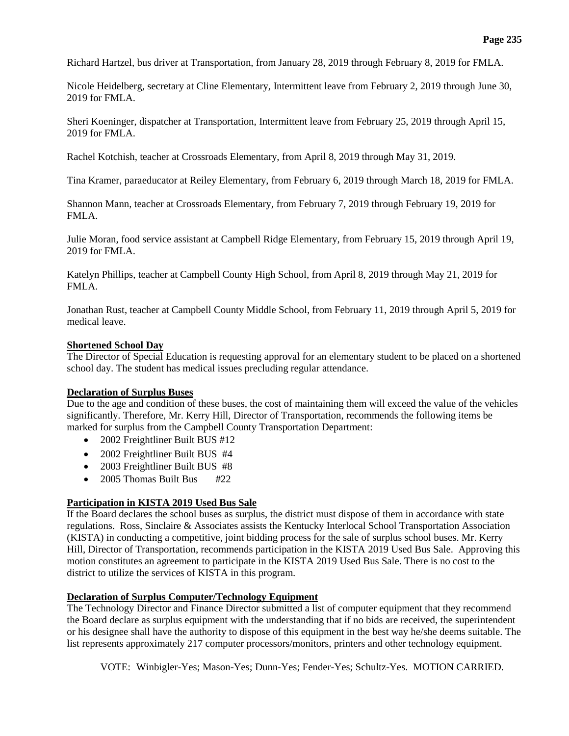Richard Hartzel, bus driver at Transportation, from January 28, 2019 through February 8, 2019 for FMLA.

Nicole Heidelberg, secretary at Cline Elementary, Intermittent leave from February 2, 2019 through June 30, 2019 for FMLA.

Sheri Koeninger, dispatcher at Transportation, Intermittent leave from February 25, 2019 through April 15, 2019 for FMLA.

Rachel Kotchish, teacher at Crossroads Elementary, from April 8, 2019 through May 31, 2019.

Tina Kramer, paraeducator at Reiley Elementary, from February 6, 2019 through March 18, 2019 for FMLA.

Shannon Mann, teacher at Crossroads Elementary, from February 7, 2019 through February 19, 2019 for FMLA.

Julie Moran, food service assistant at Campbell Ridge Elementary, from February 15, 2019 through April 19, 2019 for FMLA.

Katelyn Phillips, teacher at Campbell County High School, from April 8, 2019 through May 21, 2019 for FMLA.

Jonathan Rust, teacher at Campbell County Middle School, from February 11, 2019 through April 5, 2019 for medical leave.

### **Shortened School Day**

The Director of Special Education is requesting approval for an elementary student to be placed on a shortened school day. The student has medical issues precluding regular attendance.

### **Declaration of Surplus Buses**

Due to the age and condition of these buses, the cost of maintaining them will exceed the value of the vehicles significantly. Therefore, Mr. Kerry Hill, Director of Transportation, recommends the following items be marked for surplus from the Campbell County Transportation Department:

- 2002 Freightliner Built BUS #12
- 2002 Freightliner Built BUS #4
- 2003 Freightliner Built BUS #8
- $\bullet$  2005 Thomas Built Bus  $\#22$

### **Participation in KISTA 2019 Used Bus Sale**

If the Board declares the school buses as surplus, the district must dispose of them in accordance with state regulations. Ross, Sinclaire & Associates assists the Kentucky Interlocal School Transportation Association (KISTA) in conducting a competitive, joint bidding process for the sale of surplus school buses. Mr. Kerry Hill, Director of Transportation, recommends participation in the KISTA 2019 Used Bus Sale. Approving this motion constitutes an agreement to participate in the KISTA 2019 Used Bus Sale. There is no cost to the district to utilize the services of KISTA in this program.

### **Declaration of Surplus Computer/Technology Equipment**

The Technology Director and Finance Director submitted a list of computer equipment that they recommend the Board declare as surplus equipment with the understanding that if no bids are received, the superintendent or his designee shall have the authority to dispose of this equipment in the best way he/she deems suitable. The list represents approximately 217 computer processors/monitors, printers and other technology equipment.

VOTE: Winbigler-Yes; Mason-Yes; Dunn-Yes; Fender-Yes; Schultz-Yes. MOTION CARRIED.